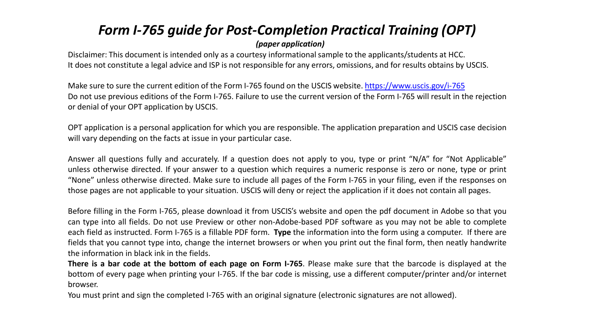# *Form I-765 guide for Post-Completion Practical Training (OPT)*

## *(paper application)*

Disclaimer: This document is intended only as a courtesy informational sample to the applicants/students at HCC. It does not constitute a legal advice and ISP is not responsible for any errors, omissions, and for results obtains by USCIS.

Make sure to sure the current edition of the Form I-765 found on the USCIS website. <https://www.uscis.gov/i-765> Do not use previous editions of the Form I-765. Failure to use the current version of the Form I-765 will result in the rejection or denial of your OPT application by USCIS.

OPT application is a personal application for which you are responsible. The application preparation and USCIS case decision will vary depending on the facts at issue in your particular case.

Answer all questions fully and accurately. If a question does not apply to you, type or print "N/A" for "Not Applicable" unless otherwise directed. If your answer to a question which requires a numeric response is zero or none, type or print "None" unless otherwise directed. Make sure to include all pages of the Form I-765 in your filing, even if the responses on those pages are not applicable to your situation. USCIS will deny or reject the application if it does not contain all pages.

Before filling in the Form I-765, please download it from USCIS's website and open the pdf document in Adobe so that you can type into all fields. Do not use Preview or other non-Adobe-based PDF software as you may not be able to complete each field as instructed. Form I-765 is a fillable PDF form. **Type** the information into the form using a computer. If there are fields that you cannot type into, change the internet browsers or when you print out the final form, then neatly handwrite the information in black ink in the fields.

**There is a bar code at the bottom of each page on Form I-765**. Please make sure that the barcode is displayed at the bottom of every page when printing your I-765. If the bar code is missing, use a different computer/printer and/or internet browser.

You must print and sign the completed I-765 with an original signature (electronic signatures are not allowed).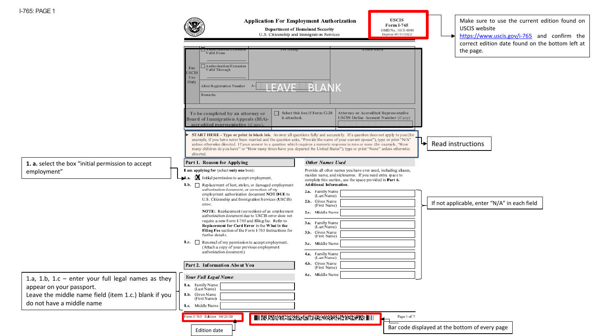| I-765: PAGE 1                                                                                                                                                          |                                                                                                                                                                                                                                                                                          |                                                                                                                                                                                                                                                                                                                                                                                                                                                                                                                              |                                                                                                                                                                   |
|------------------------------------------------------------------------------------------------------------------------------------------------------------------------|------------------------------------------------------------------------------------------------------------------------------------------------------------------------------------------------------------------------------------------------------------------------------------------|------------------------------------------------------------------------------------------------------------------------------------------------------------------------------------------------------------------------------------------------------------------------------------------------------------------------------------------------------------------------------------------------------------------------------------------------------------------------------------------------------------------------------|-------------------------------------------------------------------------------------------------------------------------------------------------------------------|
|                                                                                                                                                                        |                                                                                                                                                                                                                                                                                          | <b>USCIS</b><br><b>Application For Employment Authorization</b><br>Form I-765<br>Department of Homeland Security<br>OMB No. 1615-0040<br>U.S. Citizenship and Immigration Services<br>Expires 07/31/2022                                                                                                                                                                                                                                                                                                                     | Make sure to use the current edition found on<br>USCIS website<br>https://www.uscis.gov/i-765 and confirm the<br>correct edition date found on the bottom left at |
|                                                                                                                                                                        | Valid From<br>Authorization/Extension<br>For<br>Valid Through<br><b>USCIS</b><br>Use<br>Only<br>Alien Registration Number A-<br>Remarks<br>To be completed by an attorney or<br>is attached.<br>Board of Immigration Appeals (BIA)-                                                      | <b>EAVE BLANK</b><br>Select this box if Form G-28<br>Attorney or Accredited Representative<br>USCIS Online Account Number (if any)                                                                                                                                                                                                                                                                                                                                                                                           | the page.                                                                                                                                                         |
|                                                                                                                                                                        | accredited representative (if any).<br>directed.                                                                                                                                                                                                                                         | START HERE - Type or print in black ink. Answer all questions fully and accurately. If a question does not apply to you (for<br>example, if you have never been married and the question asks, "Provide the name of your current spouse"), type or print "N/A"<br>unless otherwise directed. If your answer to a question which requires a numeric response is zero or none (for example, "How<br>many children do you have" or "How many times have you departed the United States"), type or print "None" unless otherwise | ↳<br>Read instructions                                                                                                                                            |
| 1. a. select the box "initial permission to accept<br>employment"                                                                                                      | Part 1. Reason for Applying<br>I am applying for (select only one box):<br>Initial permission to accept employment.<br>$-1.a.$<br>1.b. Replacement of lost, stolen, or damaged employment<br>authorization document, or correction of my<br>employment authorization document NOT DUE to | <b>Other Names Used</b><br>Provide all ofher names you have ever used, including aliases,<br>maiden name, and nicknames. If you need extra space to<br>complete this section, use the space provided in Part 6.<br>Additional Information<br>2.a. Family Name<br>(Last Name)                                                                                                                                                                                                                                                 |                                                                                                                                                                   |
|                                                                                                                                                                        | U.S. Citizenship and Immigration Services (USCIS)<br>error.<br>NOTE: Replacement (correction) of an employment<br>authorization document due to USCIS error does not<br>require a new Form I-765 and filing fee. Refer to                                                                | 2.b. Given Name<br>(First Name)<br>2.c. Middle Name                                                                                                                                                                                                                                                                                                                                                                                                                                                                          | If not applicable, enter "N/A" in each field                                                                                                                      |
|                                                                                                                                                                        | Replacement for Card Error in the What is the<br>Filing Fee section of the Form I-765 Instructions for<br>further details.<br>1.c. Renewal of my permission to accept employment.<br>(Attach a copy of your previous employment                                                          | 3.a. Family Name<br>(Last Name)<br>3.b. Given Name<br>(First Name)<br>3.c. Middle Name                                                                                                                                                                                                                                                                                                                                                                                                                                       |                                                                                                                                                                   |
|                                                                                                                                                                        | authorization document.)<br>Part 2. Information About You<br><b>Your Full Legal Name</b>                                                                                                                                                                                                 | 4.a. Family Name<br>(Last Name)<br>Given Name<br>4.b.<br>(First Name)<br>4.c. Middle Name                                                                                                                                                                                                                                                                                                                                                                                                                                    |                                                                                                                                                                   |
| 1.a, 1.b, 1.c $-$ enter your full legal names as they<br>appear on your passport.<br>Leave the middle name field (item 1.c.) blank if you<br>do not have a middle name | 1.a. Family Name [1]<br>1.b. Given Name<br>(First Name)<br>I.c. Middle Name                                                                                                                                                                                                              |                                                                                                                                                                                                                                                                                                                                                                                                                                                                                                                              |                                                                                                                                                                   |
|                                                                                                                                                                        | Form I-765 Edition 08/25/20<br>Edition date                                                                                                                                                                                                                                              | Page 1 of 7<br>III 03.53124123231335201331231231231335102123121213132<br>ľЬ                                                                                                                                                                                                                                                                                                                                                                                                                                                  | Bar code displayed at the bottom of every page                                                                                                                    |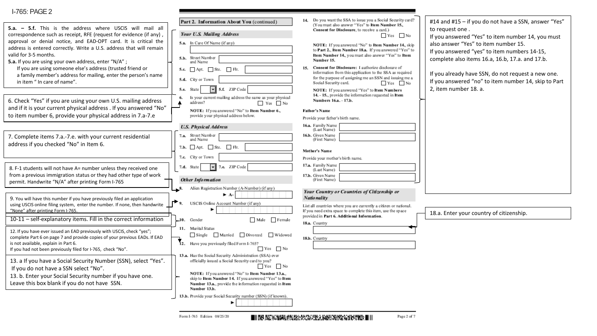| 5.a. - 5.f. This is the address where USCIS will mail all<br>correspondence such as receipt, RFE (request for evidence (if any),<br>approval or denial notice, and EAD-OPT card. It is critical the<br>address is entered correctly. Write a U.S. address that will remain<br>valid for 3-5 months.<br>5.a. If you are using your own address, enter "N/A";<br>If you are using someone else's address (trusted friend or<br>a family member's address for mailing, enter the person's name<br>in item " In care of name". | Part 2. Information About You (continued)<br>Your U.S. Mailing Address<br>5.a. In Care Of Name (if any)<br>5.b. Street Number<br>and Name<br>5.c. $\Box$ Apt. $\Box$ Ste. $\Box$ Flr.<br>5.d. City or Town<br>5.f. ZIP Code<br>5.e. State                                                                         | 14. Do you want the SSA to issue you a Social Security card?<br>(You must also answer "Yes" to Item Number 15.,<br>Consent for Disclosure, to receive a card.)<br>Yes No<br>NOTE: If you answered "No" to Item Number 14., skip<br>to Part 2., Item Number 18.a. If you answered "Yes" to<br>Item Number 14., you must also answer "Yes" to Item<br>Number 15.<br>15. Consent for Disclosure: I authorize disclosure of<br>information from this application to the SSA as required<br>for the purpose of assigning me an SSN and issuing me a<br>Social Security card.<br>Yes No<br>NOTE: If you answered "Yes" to Item Numbers | #14 and #15 - if you do not have a SSN, answer "Yes"<br>to request one.<br>If you answered "Yes" to item number 14, you must<br>also answer "Yes" to item number 15.<br>If you answered "yes" to item numbers 14-15,<br>complete also items 16.a, 16.b, 17.a. and 17.b.<br>If you already have SSN, do not request a new one.<br>If you answered "no" to item number 14, skip to Part<br>2, item number 18. a. |
|----------------------------------------------------------------------------------------------------------------------------------------------------------------------------------------------------------------------------------------------------------------------------------------------------------------------------------------------------------------------------------------------------------------------------------------------------------------------------------------------------------------------------|-------------------------------------------------------------------------------------------------------------------------------------------------------------------------------------------------------------------------------------------------------------------------------------------------------------------|----------------------------------------------------------------------------------------------------------------------------------------------------------------------------------------------------------------------------------------------------------------------------------------------------------------------------------------------------------------------------------------------------------------------------------------------------------------------------------------------------------------------------------------------------------------------------------------------------------------------------------|----------------------------------------------------------------------------------------------------------------------------------------------------------------------------------------------------------------------------------------------------------------------------------------------------------------------------------------------------------------------------------------------------------------|
| 6. Check "Yes" if you are using your own U.S. mailing address<br>and if it is your current physical address . If you answered "No"<br>to item number 6, provide your physical address in 7.a-7.e                                                                                                                                                                                                                                                                                                                           | Is your current mailing address the same as your physical<br>address?<br>Yes No<br>NOTE: If you answered "No" to Item Number 6<br>provide your physical address below.                                                                                                                                            | 14. - 15., provide the information requested in Item<br>Numbers 16.a. - 17.b.<br><b>Father's Name</b><br>Provide your father's birth name.                                                                                                                                                                                                                                                                                                                                                                                                                                                                                       |                                                                                                                                                                                                                                                                                                                                                                                                                |
| 7. Complete items 7.a.-7.e. with your current residential<br>address if you checked "No" in Item 6.                                                                                                                                                                                                                                                                                                                                                                                                                        | <b>U.S. Physical Address</b><br>7.a. Street Number<br>and Name<br>7.b. $\Box$ Apt. $\Box$ Ste. $\Box$ Flr.<br>7.c. City or Town                                                                                                                                                                                   | 16.a. Family Name<br>(Last Name)<br>16.b. Given Name<br>(First Name)<br>Mother's Name<br>Provide your mother's birth name.                                                                                                                                                                                                                                                                                                                                                                                                                                                                                                       |                                                                                                                                                                                                                                                                                                                                                                                                                |
| 8. F-1 students will not have A= number unless they received one<br>from a previous immigration status or they had other type of work<br>permit. Handwrite "N/A" after printing Form I-765                                                                                                                                                                                                                                                                                                                                 | 7.e. ZIP Code<br>7.d. State<br>$\mathbf{r}$<br><b>Other Information</b><br>Alien Registration Number (A-Number) (if any)<br>$\overline{\phantom{a}}$ 8.                                                                                                                                                           | 17.a. Family Name<br>(Last Name)<br>17.b. Given Name<br>(First Name)                                                                                                                                                                                                                                                                                                                                                                                                                                                                                                                                                             |                                                                                                                                                                                                                                                                                                                                                                                                                |
| 9. You will have this number if you have previously filed an application<br>using USCIS online filing system, enter the number. If none, then handwrite<br>"None" after printing Form I-765.<br>10-11 - self-explanatory items. Fill in the correct information                                                                                                                                                                                                                                                            | $\triangleright$ A-<br>$\rightarrow$ 9.<br>USCIS Online Account Number (if any)<br>Male Female<br>10. Gender                                                                                                                                                                                                      | Your Country or Countries of Citizenship or<br>Natio nality<br>List all countries where you are currently a citizen or national.<br>If you need extra space to complete this item, use the space<br>provided in Part 6. Additional Information.<br>18.a. Country                                                                                                                                                                                                                                                                                                                                                                 | 18.a. Enter your country of citizenship.                                                                                                                                                                                                                                                                                                                                                                       |
| 12. If you have ever issued an EAD previously with USCIS, check "yes";<br>complete Part 6 on page 7 and provide copies of your previous EADs. If EAD<br>is not available, explain in Part 6.<br>If you had not been previously filed for I-765, check "No".                                                                                                                                                                                                                                                                | 11. Marital Status<br>Single Married Divorced Widowed<br>12. Have you previously filed Form I-765?<br>$Yes$ No<br>13.a. Has the Social Security Administration (SSA) ever                                                                                                                                         | 18.b. Country                                                                                                                                                                                                                                                                                                                                                                                                                                                                                                                                                                                                                    |                                                                                                                                                                                                                                                                                                                                                                                                                |
| 13. a If you have a Social Security Number (SSN), select "Yes".<br>If you do not have a SSN select "No".<br>13. b. Enter your Social Security number if you have one.<br>Leave this box blank if you do not have SSN.                                                                                                                                                                                                                                                                                                      | officially issued a Social Security card to you?<br>Yes No<br>NOTE: If you answered "No" to Item Number 13.a.,<br>skip to Item Number 14. If you answered "Yes" to Item<br>Number 13.a., provide the information requested in Item<br>Number 13.b.<br>13.b. Provide your Social Security number (SSN) (if known). |                                                                                                                                                                                                                                                                                                                                                                                                                                                                                                                                                                                                                                  |                                                                                                                                                                                                                                                                                                                                                                                                                |
|                                                                                                                                                                                                                                                                                                                                                                                                                                                                                                                            |                                                                                                                                                                                                                                                                                                                   |                                                                                                                                                                                                                                                                                                                                                                                                                                                                                                                                                                                                                                  |                                                                                                                                                                                                                                                                                                                                                                                                                |

Form I-765 Edition 08/25/20

■||『8.52%などの定期にとっているからいんだから、そのようなのですから、

Page 2 of 7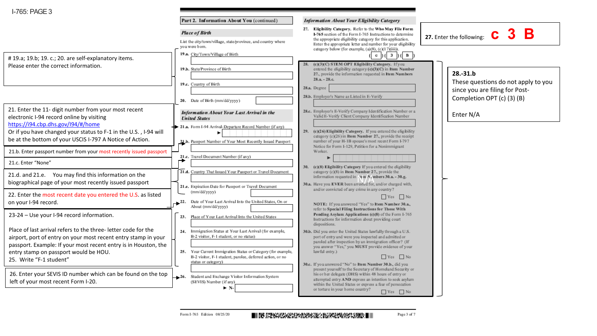|                                                                                                                                                                                                                                                                         | Part 2. Information About You (continued)                                                                                                                                                                                                               | <b>Information About Your Eligibility Category</b>                                                                                                                                                                                                                                                                                                                                             |                                                                                                                   |
|-------------------------------------------------------------------------------------------------------------------------------------------------------------------------------------------------------------------------------------------------------------------------|---------------------------------------------------------------------------------------------------------------------------------------------------------------------------------------------------------------------------------------------------------|------------------------------------------------------------------------------------------------------------------------------------------------------------------------------------------------------------------------------------------------------------------------------------------------------------------------------------------------------------------------------------------------|-------------------------------------------------------------------------------------------------------------------|
| # 19.a; 19.b; 19. c.; 20. are self-explanatory items.                                                                                                                                                                                                                   | <b>Place of Birth</b><br>List the city/town/village, state/province, and country where<br>you were born.<br>19.a. City/Town/Village of Birth                                                                                                            | 27. Eligibility Category. Refer to the Who May File Form<br>I-765 section of the Form I-765 Instructions to determine<br>the appropriate eligibility category for this application.<br>Enter the appropriate letter and number for your eligibility<br>category below (for example, (a)(8), (c)(17)(iii)).<br>$3$ ) ( $ B $<br>$\mathbf{c}$<br>(c)(3)(C) STEM OPT Eligibility Category. If you | 27. Enter the following: $\overline{c}$ 3 B                                                                       |
| Please enter the correct information.                                                                                                                                                                                                                                   | 19.b. State/Province of Birth<br>19.c. Country of Birth<br>20. Date of Birth (mm/dd/yyyy)                                                                                                                                                               | entered the eligibility category (c)(3)(C) in Item Number<br>27., provide the information requested in Item Numbers<br>$28.a. - 28.c.$<br>28.a. Degree<br>28.b. Employer's Name as Listed in E-Verify                                                                                                                                                                                          | $28.-31.b$<br>These questions do not apply to you<br>since you are filing for Post-<br>Completion OPT (c) (3) (B) |
| 21. Enter the 11- digit number from your most recent<br>electronic I-94 record online by visiting<br>https://i94.cbp.dhs.gov/l94/#/home<br>Or if you have changed your status to F-1 in the U.S., I-94 will<br>be at the bottom of your USCIS I-797 A Notice of Action. | Information About Your Last Arrival in the<br><b>United States</b><br>21.a. Form I-94 Arrival-Departure Record Number (if any)<br>21.b. Passport Number of Your Most Recently Issued Passport                                                           | 28.c. Employer's E-Verify Company Identification Number or a<br>Valid E-Verify Client Company Identification Number<br>29. (c)(26) Eligibility Category. If you entered the eligibility<br>category (c)(26) in Item Number 27., provide the receipt<br>number of your H-1B spouse's most recent Form I-797                                                                                     | Enter N/A                                                                                                         |
| 21.b. Enter passport number from your most recently issued passport<br>21.c. Enter "None"                                                                                                                                                                               | 21.c. Travel Document Number (if any)                                                                                                                                                                                                                   | Notice for Form I-129, Petition for a Nonimmigrant<br>Worker.                                                                                                                                                                                                                                                                                                                                  |                                                                                                                   |
| 21.d. and 21.e. You may find this information on the<br>biographical page of your most recently issued passport                                                                                                                                                         | 21.d. Country That Issued Your Passport or Travel Document<br>21.e. Expiration Date for Passport or Travel Document                                                                                                                                     | 30. (c)(8) Eligibility Category If you entered the eligibility<br>category (c)(8) in Item Number 27, provide the<br>information requested in Nem NAmbers 30.a. - 30.g.<br>30.a. Have you EVER been arrested for, and/or charged with,                                                                                                                                                          |                                                                                                                   |
| 22. Enter the most recent date you entered the U.S. as listed<br>on your I-94 record.                                                                                                                                                                                   | (mm/dd/yyyy)<br>22. Date of Your Last Arrival Into the United States, On or<br>About (mm/dd/yyyy)                                                                                                                                                       | and/or convicted of any crime in any country?<br>$Yes$ No<br>NOTE: If you answered "Yes" to Item Number 30.a.,<br>refer to Special Filing Instructions for Those With                                                                                                                                                                                                                          |                                                                                                                   |
| 23-24 - Use your I-94 record information.                                                                                                                                                                                                                               | Place of Your Last Arrival Into the United States<br>23.                                                                                                                                                                                                | Pending Asylum Applications (c)(8) of the Form I-765<br>Instructions for information about providing court<br>dispositions.                                                                                                                                                                                                                                                                    |                                                                                                                   |
| Place of last arrival refers to the three-letter code for the<br>airport, port of entry on your most recent entry stamp in your<br>passport. Example: If your most recent entry is in Houston, the<br>entry stamp on passport would be HOU.<br>25. Write "F-1 student"  | 24. Immigration Status at Your Last Amval (for example,<br>B-2 visitor, F-1 student, or no status)<br>25. Your Current Immigration Status or Category (for example,<br>B-2 visitor, F-1 student, parolee, deferred action, or no<br>status or category) | 30.b. Did you enter the United States lawfully through a U.S.<br>port of entry and were you inspected and admitted or<br>paroled after inspection by an immigration officer? (If<br>you answer "Yes," you MUST provide evidence of your<br>lawful entry.)<br>Yes No<br>30.c. If you answered "No" to Item Number 30.b., did you                                                                |                                                                                                                   |
| 26. Enter your SEVIS ID number which can be found on the top<br>left of your most recent Form I-20.                                                                                                                                                                     | Student and Exchange Visitor Information System<br>$-26.$<br>(SEVIS) Number (if any)<br>$\blacktriangleright$ N-                                                                                                                                        | present yourself to the Secretary of Homeland Security or<br>his or her delegate (DHS) within 48 hours of entry or<br>attempted entry AND express an intention to seek asylum<br>within the United States or express a fear of persecution<br>or torture in your home country?<br>$\Box$ Yes $\Box$ No                                                                                         |                                                                                                                   |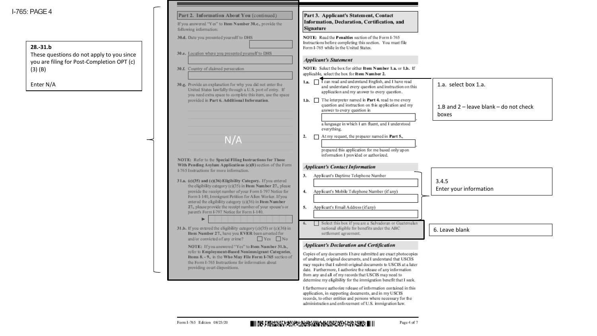I-765: PAGE4

## **28.-31.b**

| PAGE 4                                                                                  | Part 2. Information About You (continued)<br>If you answered "Yes" to Item Number 30.c., provide the<br>following information:                                                                                                 | Part 3. Applicant's Statement, Contact<br>Information, Declaration, Certification, and<br>Signature                                                                                                                                                                                                                                                                                                |                                                   |
|-----------------------------------------------------------------------------------------|--------------------------------------------------------------------------------------------------------------------------------------------------------------------------------------------------------------------------------|----------------------------------------------------------------------------------------------------------------------------------------------------------------------------------------------------------------------------------------------------------------------------------------------------------------------------------------------------------------------------------------------------|---------------------------------------------------|
| 28.-31.b                                                                                | 30.d. Date you presented yourself to DHS                                                                                                                                                                                       | NOTE: Read the Penalties section of the Form I-765<br>Instructions before completing this section. You must file<br>Form I-765 while in the United States.                                                                                                                                                                                                                                         |                                                   |
| These questions do not apply to you since<br>you are filing for Post-Completion OPT (c) | 30.e. Location where you presented yourself to DHS                                                                                                                                                                             | <b>Applicant's Statement</b>                                                                                                                                                                                                                                                                                                                                                                       |                                                   |
| $(3)$ $(B)$                                                                             | 30.f. Country of claimed persecution                                                                                                                                                                                           | NOTE: Select the box for either Item Number 1.a. or 1.b. If<br>applicable, select the box for Item Number 2.                                                                                                                                                                                                                                                                                       |                                                   |
| Enter N/A                                                                               | 30.g. Provide an explanation for why you did not enter the<br>United States lawfully through a U.S. port of entry. If<br>you need extra space to complete this item, use the space                                             | 1.a. I can read and understand English, and I have read<br>and understand every question and instruction on this<br>application and my answer to every question.                                                                                                                                                                                                                                   | 1.a. select box 1.a.                              |
|                                                                                         | provided in Part 6. Additional Information.                                                                                                                                                                                    | 1.b. The interpreter named in Part 4, read to me every<br>question and instruction on this application and my<br>answer to every question in                                                                                                                                                                                                                                                       | 1.B and $2$ – leave blank – do not check<br>boxes |
|                                                                                         |                                                                                                                                                                                                                                | a language in which I am fluent, and I understood<br>everything.                                                                                                                                                                                                                                                                                                                                   |                                                   |
|                                                                                         | N/A                                                                                                                                                                                                                            | At my request, the preparer named in Part 5.,<br>2.                                                                                                                                                                                                                                                                                                                                                |                                                   |
|                                                                                         | NOTE: Refer to the Special Filing Instructions for Those<br>With Pending Asylum Applications (c)(8) section of the Form<br>I-765 Instructions for more information.                                                            | prepared this application for me based only upon<br>information I provided or authorized.<br><b>Applicant's Contact Information</b>                                                                                                                                                                                                                                                                |                                                   |
|                                                                                         | 31.a. (c)(35) and (c)(36) Eligibility Category. If you entered<br>the eligibility category (c)(35) in Item Number 27., please<br>provide the receipt number of your Form I-797 Notice for                                      | Applicant's Daytime Telephone Number<br>3.<br>4. Applicant's Mobile Telephone Number (if any)                                                                                                                                                                                                                                                                                                      | 3.4.5<br>Enter your information                   |
|                                                                                         | Form I-140, Immigrant Petition for Alien Worker. If you<br>entered the eligibility category (c)(36) in Item Number<br>27., please provide the receipt number of your spouse's or<br>parent's Form I-797 Notice for Form I-140. | Applicant's Email Address (if any)<br>5.                                                                                                                                                                                                                                                                                                                                                           |                                                   |
|                                                                                         | 31.b. If you entered the eligibility category $(c)(35)$ or $(c)(36)$ in<br>Item Number 27., have you EVER been arrested for<br>and/or convicted of any crime?<br>$Yes$ No                                                      | Select this box if you are a Salvadoran or Guatemalan<br>national eligible for benefits under the ABC<br>settlement agreement.                                                                                                                                                                                                                                                                     | 6. Leave blank                                    |
|                                                                                         | NOTE: If you answered "Yes" to Item Number 31.b.,                                                                                                                                                                              | <b>Applicant's Declaration and Certification</b>                                                                                                                                                                                                                                                                                                                                                   |                                                   |
|                                                                                         | refer to Employment-Based Nonimmigrant Categories,<br>Items 8. - 9., in the Who May File Form I-765 section of<br>the Form I-765 Instructions for information about<br>providing court dispositions.                           | Copies of any documents I have submitted are exact photocopies<br>of unaltered, original documents, and I understand that USCIS<br>may require that I submit original documents to USCIS at a later<br>date. Furthermore, I authorize the release of any information<br>from any and all of my records that USCIS may need to<br>determine my eligibility for the immigration benefit that I seek. |                                                   |
|                                                                                         |                                                                                                                                                                                                                                | I furthermore authorize release of information contained in this<br>application, in supporting documents, and in my USCIS<br>records, to other entities and persons where necessary for the<br>administration and enforcement of U.S. immigration law.                                                                                                                                             |                                                   |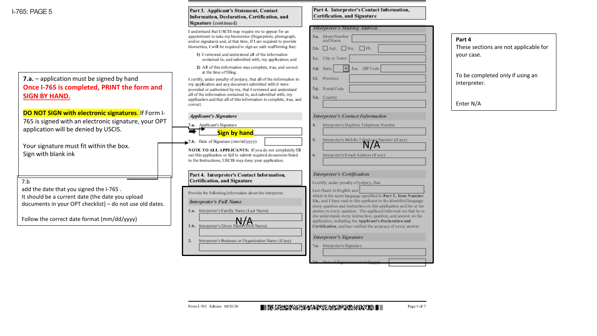**I-765: PAGF5** 

| <b>7.a.</b> – application must be signed by hand |
|--------------------------------------------------|
| Once I-765 is completed, PRINT the form and      |
| <b>SIGN BY HAND.</b>                             |

**DO NOT SIGN with electronic signatures.** If Form I-765 is signed with an electronic signature, your OPT application will be denied by USCIS.

Your signature must fit within the box. Sign with blank ink

7.b

add the date that you signed the I-765 . It should be a current date (the date you upload documents in your OPT checklist) – do not use old dates.

Follow the correct date format (mm/dd/yyyy)  $\frac{1}{\text{lb. Interpreter's Given Name}}\prod_{\text{frame}}$ 

| Part 3. Applicant's Statement, Contact       |
|----------------------------------------------|
| Information, Declaration, Certification, and |
| Signature (continued)                        |

I understand that USCIS may require me to appear for an appointment to take my biometrics (fingerprints, photograph, and/or signature) and, at that time, if I am required to provide biometrics, I will be required to sign an oath reaffirming that:

- 1) I reviewed and understood all of the information contained in, and submitted with, my application; and
- 2) All of this information was complete, true, and correct at the time of filing.

I certify, under penalty of perjury, that all of the information in my application and any document submitted with it were provided or authorized by me, that I reviewed and understand all of the information contained in, and submitted with, my application and that all of this information is complete, true, and correct.

| <b>Applicant's Signature</b> |  |
|------------------------------|--|
| 7.a. Applicant's Signature   |  |

|--|

7.b. Date of Signature (nm/dd/yyyy)

NOTE TO ALL APPLICANTS: If you do not completely fill out this application or fail to submit required documents listed in the Instructions, USCIS may deny your application.

#### Part 4. Interpreter's Contact Information, Certification, and Signature

Provide the following information about the interpreter.

**Interpreter's Full Name** 

1.a. Interpreter's Family Name (Last Name)

Interpreter's Business or Organization Name (if any)  $2.$ 

| Part 4. Interpreter's Contact Information, |
|--------------------------------------------|
| Certification, and Signature               |

|    | <b>Interpreter's Mailing Address</b>             |
|----|--------------------------------------------------|
|    | 3.a. Street Number<br>and Name                   |
|    | $3.b.$ Apt. Ste. Fir.                            |
|    | 3.c. City or Town                                |
|    | 3.d. State $\overline{\mathbf{v}}$ 3.e. ZIP Code |
|    | 3.f. Province                                    |
|    | 3.g. Postal Code                                 |
|    | 3.h. Country                                     |
|    |                                                  |
|    |                                                  |
|    | <b>Interpreter's Contact Information</b>         |
| 4. | Interpreter's Daytime Telephone Number           |
|    |                                                  |

Interpreter's Mobile Telephone Number (if any)

which is the same language specified in Part 3., Item Number 1.b., and I have read to this applicant in the identified language

every question and instruction on this application and his or her

answer to every question. The applicant informed me that he or she understands every instruction, question, and answer on the application, including the Applicant's Declaration and Certification, and has verified the accuracy of every answer.

Interpreter's Email Address (if any)

**Interpreter's Certification** 

I am fluent in English and

**Interpreter's Signature** 

7.a. Interpreter's Signature

I certify, under penalty of perjury, that:

**Part 4** These sections are not applicable for your case. To be completed only if using an interpreter. Enter N/A

 $5.$ 

 $6.$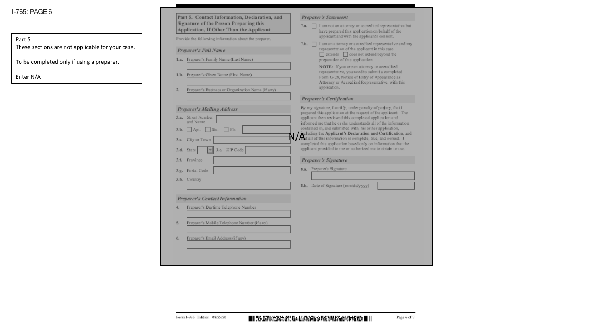## I-765: PAGE6

### Part 5.

These sections are not applicable for your case.

To be completed only if using a preparer.

Enter N/A

| Part 5. Contact Information, Declaration, and                                      | <b>Preparer's Statement</b>                                                                                                                 |
|------------------------------------------------------------------------------------|---------------------------------------------------------------------------------------------------------------------------------------------|
| Signature of the Person Preparing this<br>Application, If Other Than the Applicant | I am not an attorney or accredited representative but<br>7.3.<br>have prepared this application on behalf of the                            |
| Provide the following information about the preparer.                              | applicant and with the applicant's consent.<br>I am an attomey or accredited representative and my<br>7.b.                                  |
| Preparer's Full Name                                                               | representation of the applicant in this case                                                                                                |
| 1.a. Preparer's Family Name (Last Name)                                            | extends does not extend beyond the<br>preparation of this application.                                                                      |
| 1.b. Preparer's Given Name (First Name)                                            | NOTE: If you are an attorney or accredited<br>representative, you need to submit a completed<br>Form G-28, Notice of Entry of Appearance as |
| 2.<br>Preparer's Business or Organization Name (if any)                            | Attorney or Accredited Representative, with this<br>application.                                                                            |
|                                                                                    | <b>Preparer's Certification</b>                                                                                                             |
| <b>Preparer's Mailing Address</b>                                                  | By my signature, I certify, under penalty of perjury, that I<br>prepared this application at the request of the applicant. The              |
| 3.a. Street Number<br>and Name                                                     | applicant then reviewed this completed application and                                                                                      |
| Ste.<br>Flr.<br>3.b.<br>Apt.                                                       | informed me that he or she understands all of the information<br>contained in, and submitted with, his or her application,                  |
| 3.c. City or Town                                                                  | peluding the Applicant's Declaration and Certification, and<br>that all of this information is complete, true, and correct. I               |
| 3.e. ZIP Code<br>3.d. State<br>٣l                                                  | completed this application based only on information that the<br>applicant provided to me or authorized me to obtain or use.                |
| Province<br>3.f.                                                                   | Preparer's Signature                                                                                                                        |
|                                                                                    |                                                                                                                                             |
| 3.g. Postal Code                                                                   | 8.a. Preparer's Signature                                                                                                                   |
| 3.h. Country                                                                       |                                                                                                                                             |
|                                                                                    | 8.b. Date of Signature (mm/dd/yyyy)                                                                                                         |
| Preparer's Contact Information                                                     |                                                                                                                                             |
| Preparer's Daytime Telephone Number<br>4.                                          |                                                                                                                                             |
|                                                                                    |                                                                                                                                             |
| 5.<br>Preparer's Mobile Telephone Number (if any)                                  |                                                                                                                                             |
| Preparer's Email Address (if any)<br>6.                                            |                                                                                                                                             |